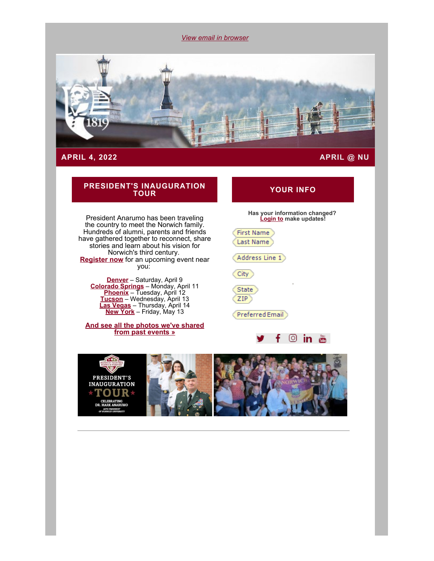*[View email in browser](#page-0-0)*

<span id="page-0-0"></span>

#### **APRIL 4, 2022 APRIL @ NU**

# **PRESIDENT'S INAUGURATION**

President Anarumo has been traveling the country to meet the Norwich family. Hundreds of alumni, parents and friends have gathered together to reconnect, share stories and learn about his vision for Norwich's third century. **[Register now](https://alumni.norwich.edu/inaugurationtour?srctid=1&erid=22763296&trid=f4f9c195-b1eb-4d96-93bf-d0d2f0bc72b2)** for an upcoming event near you:

**[Denver](https://alumni.norwich.edu/DenverTour?srctid=1&erid=22763296&trid=f4f9c195-b1eb-4d96-93bf-d0d2f0bc72b2)** – Saturday, April 9 **[Colorado Springs](https://alumni.norwich.edu/ColoradoSpringsTour?srctid=1&erid=22763296&trid=f4f9c195-b1eb-4d96-93bf-d0d2f0bc72b2)** – Monday, April 11 **[Phoenix](https://alumni.norwich.edu/PhoenixTour?srctid=1&erid=22763296&trid=f4f9c195-b1eb-4d96-93bf-d0d2f0bc72b2)** – Tuesday, April 12 **[Tucson](https://alumni.norwich.edu/TucsonTour?srctid=1&erid=22763296&trid=f4f9c195-b1eb-4d96-93bf-d0d2f0bc72b2)** – Wednesday, April 13 **[Las Vegas](https://alumni.norwich.edu/LasVegasTour_?srctid=1&erid=22763296&trid=f4f9c195-b1eb-4d96-93bf-d0d2f0bc72b2)** – Thursday, April 14 **[New York](https://alumni.norwich.edu/NewYorkCityTour?srctid=1&erid=22763296&trid=f4f9c195-b1eb-4d96-93bf-d0d2f0bc72b2)** – Friday, May 13

**[And see all the photos we've shared](https://alumni.norwich.edu/inaugurationtour?srctid=1&erid=22763296&trid=f4f9c195-b1eb-4d96-93bf-d0d2f0bc72b2) [from past events »](https://alumni.norwich.edu/inaugurationtour?srctid=1&erid=22763296&trid=f4f9c195-b1eb-4d96-93bf-d0d2f0bc72b2)**

# **TOUR YOUR INFO**

#### **Has your information changed? [Login to](https://alumni.norwich.edu/MyInfo?srctid=1&erid=22763296&trid=f4f9c195-b1eb-4d96-93bf-d0d2f0bc72b2) make updates!**

First Name Last Name

Address Line 1)

City

State ZIP

Preferred Email



,

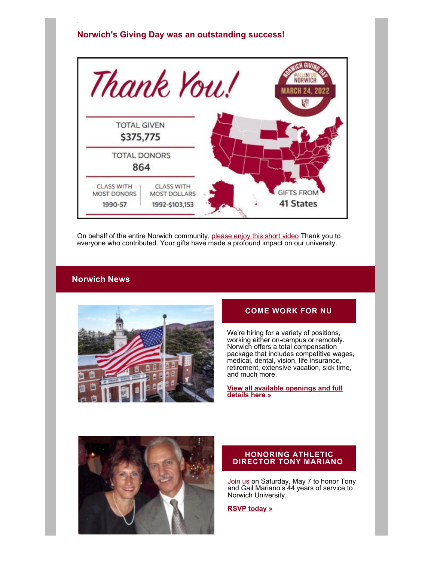# **Norwich's Giving Day was an outstanding success!**



On behalf of the entire Norwich community, [please enjoy this short video](https://alumni.norwich.edu/page.redir?target=https%3a%2f%2fwww.givecampus.com%2fschools%2fNorwichUniversity%2fday-of-giving%2f%3fa%3d5316752&srcid=159552&srctid=1&erid=22763296&trid=f4f9c195-b1eb-4d96-93bf-d0d2f0bc72b2) Thank you to everyone who contributed. Your gifts have made a profound impact on our university.

#### **Norwich News**



### **COME WORK FOR NU**

We're hiring for a variety of positions, working either on-campus or remotely. Norwich offers a total compensation package that includes competitive wages, medical, dental, vision, life insurance, retirement, extensive vacation, sick time, and much more.

**[View all available openings and full](https://alumni.norwich.edu/page.redir?target=https%3a%2f%2fnorwich.interviewexchange.com%2fstatic%2fclients%2f518NUM1%2findex.jsp&srcid=159552&srctid=1&erid=22763296&trid=f4f9c195-b1eb-4d96-93bf-d0d2f0bc72b2) [details here »](https://alumni.norwich.edu/page.redir?target=https%3a%2f%2fnorwich.interviewexchange.com%2fstatic%2fclients%2f518NUM1%2findex.jsp&srcid=159552&srctid=1&erid=22763296&trid=f4f9c195-b1eb-4d96-93bf-d0d2f0bc72b2)**



#### **HONORING ATHLETIC DIRECTOR TONY MARIANO**

Join us on Saturday, May 7 to honor Tony and Gail Mariano's 44 years of service to Norwich University.

**RSVP today »**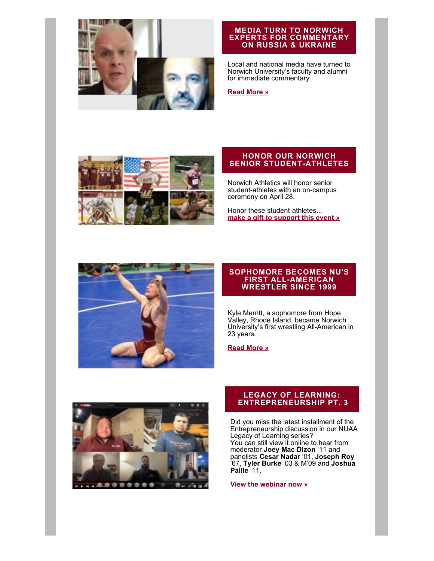

#### **MEDIA TURN TO NORWICH EXPERTS FOR COMMENTARY ON RUSSIA & UKRAINE**

Local and national media have turned to Norwich University's faculty and alumni for immediate commentary.

#### **[Read More »](https://alumni.norwich.edu/page.redir?target=https%3a%2f%2fwww.norwich.edu%2fnews%2f3653-media-turn-to-norwich-university-experts-for-commentary-on-russia-ukraine-conflict&srcid=159552&srctid=1&erid=22763296&trid=f4f9c195-b1eb-4d96-93bf-d0d2f0bc72b2)**



#### **HONOR OUR NORWICH SENIOR STUDENT-ATHLETES**

Norwich Athletics will honor senior student-athletes with an on-campus ceremony on April 28.

Honor these student-athletes... **[make a gift to support this event »](https://alumni.norwich.edu/seniorathleterecognition?srctid=1&erid=22763296&trid=f4f9c195-b1eb-4d96-93bf-d0d2f0bc72b2)**



#### **SOPHOMORE BECOMES NU'S FIRST ALL-AMERICAN WRESTLER SINCE 1999**

Kyle Merritt, a sophomore from Hope Valley, Rhode Island, became Norwich University's first wrestling All-American in 23 years.

**[Read More »](https://alumni.norwich.edu/page.redir?target=https%3a%2f%2fwww.norwich.edu%2fnews%2f3673-norwich-university-wrestler-all-amerocan-2022&srcid=159552&srctid=1&erid=22763296&trid=f4f9c195-b1eb-4d96-93bf-d0d2f0bc72b2)**



#### **LEGACY OF LEARNING: ENTREPRENEURSHIP PT. 3**

Did you miss the latest installment of the Entrepreneurship discussion in our NUAA Legacy of Learning series? You can still view it online to hear from moderator **Joey Mac Dizon** '11 and panelists **Cesar Nadar** '01, **Joseph Roy** '67, **Tyler Burke** '03 & M'09 and **Joshua Paille** '11.

**[View the webinar now »](https://alumni.norwich.edu/page.redir?target=https%3a%2f%2fwww.youtube.com%2fwatch%3fv%3d-0Dm1UE4fWM%26amp%3blist%3dPLhSLn74Aeb6L1EBWGiySPX3i8VsnCXf0N%26amp%3bindex%3d5&srcid=159552&srctid=1&erid=22763296&trid=f4f9c195-b1eb-4d96-93bf-d0d2f0bc72b2)**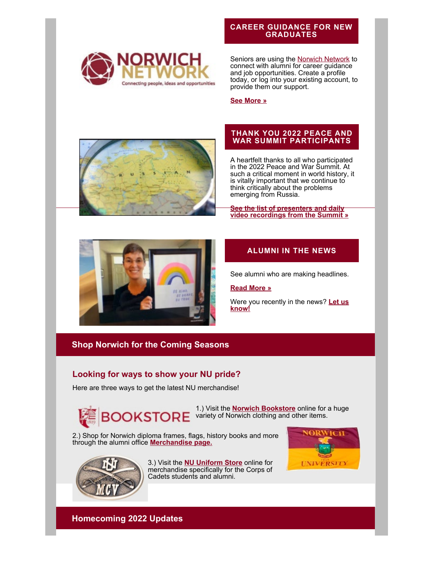

#### **CAREER GUIDANCE FOR NEW GRADUATES**

Seniors are using the **Norwich Network** to connect with alumni for career guidance and job opportunities. Create a profile today, or log into your existing account, to provide them our support.

**[See More »](https://alumni.norwich.edu/page.redir?target=https%3a%2f%2fnetworking.norwich.edu%2f&srcid=159552&srctid=1&erid=22763296&trid=f4f9c195-b1eb-4d96-93bf-d0d2f0bc72b2)**



### **THANK YOU 2022 PEACE AND WAR SUMMIT PARTICIPANTS**

A heartfelt thanks to all who participated in the 2022 Peace and War Summit. At such a critical moment in world history, it is vitally important that we continue to think critically about the problems emerging from Russia.

**[See the list of presenters and daily](https://alumni.norwich.edu/page.redir?target=https%3a%2f%2fwww.norwich.edu%2fpawc%2fevents%2f3468-2022-peace-and-war-virtual-summit&srcid=159552&srctid=1&erid=22763296&trid=f4f9c195-b1eb-4d96-93bf-d0d2f0bc72b2) [video recordings from the Summit »](https://alumni.norwich.edu/page.redir?target=https%3a%2f%2fwww.norwich.edu%2fpawc%2fevents%2f3468-2022-peace-and-war-virtual-summit&srcid=159552&srctid=1&erid=22763296&trid=f4f9c195-b1eb-4d96-93bf-d0d2f0bc72b2)**



# **ALUMNI IN THE NEWS**

See alumni who are making headlines.

#### **[Read More »](https://alumni.norwich.edu/AlumniNews?srctid=1&erid=22763296&trid=f4f9c195-b1eb-4d96-93bf-d0d2f0bc72b2)**

Were you recently in the news? **[Let us](mailto:alumni.norwich.edu?subject=Alumni%20News) [know!](mailto:alumni.norwich.edu?subject=Alumni%20News)**

# **Shop Norwich for the Coming Seasons**

# **Looking for ways to show your NU pride?**

Here are three ways to get the latest NU merchandise!



1.) Visit the **[Norwich Bookstore](https://alumni.norwich.edu/page.redir?target=https%3a%2f%2fwww.bkstr.com%2fnorwichustore%2fhome&srcid=159552&srctid=1&erid=22763296&trid=f4f9c195-b1eb-4d96-93bf-d0d2f0bc72b2)** online for a huge **OOKSTORE** variety of Norwich clothing and other items.

2.) Shop for Norwich diploma frames, flags, history books and more through the alumni office **[Merchandise page.](https://alumni.norwich.edu/Merchandise?srctid=1&erid=22763296&trid=f4f9c195-b1eb-4d96-93bf-d0d2f0bc72b2)**



3.) Visit the **[NU Uniform Store](https://alumni.norwich.edu/page.redir?target=https%3a%2f%2fwww.norwich.edu%2funiform-store%2f&srcid=159552&srctid=1&erid=22763296&trid=f4f9c195-b1eb-4d96-93bf-d0d2f0bc72b2)** online for merchandise specifically for the Corps of Cadets students and alumni.



**Homecoming 2022 Updates**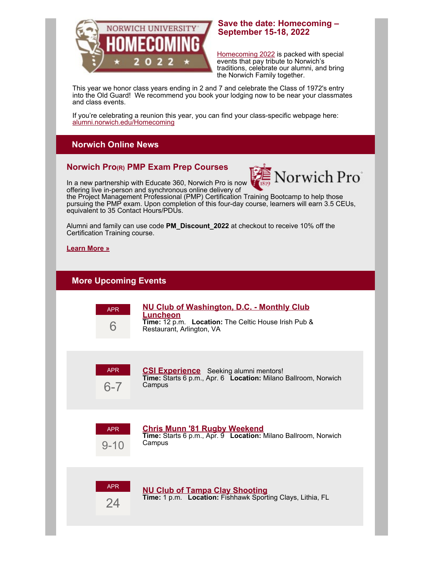

## **Save the date: Homecoming – September 15-18, 2022**

Homecoming 2022 is packed with special events that pay tribute to Norwich's traditions, celebrate our alumni, and bring the Norwich Family together.

This year we honor class years ending in 2 and 7 and celebrate the Class of 1972's entry into the Old Guard! We recommend you book your lodging now to be near your classmates and class events.

[If you're celebrating a reunion this](https://alumni.norwich.edu/Homecoming?srctid=1&erid=22763296&trid=f4f9c195-b1eb-4d96-93bf-d0d2f0bc72b2) year, you can find your class-specific webpage here: alumni.norwich.edu/Homecoming

# **Norwich Online News**

# **Norwich Pro(R) PMP Exam Prep Courses**



In a new partnership with Educate 360, Norwich Pro is now offering live in-person and synchronous online delivery of

the Project Management Professional (PMP) Certification Training Bootcamp to help those pursuing the PMP exam. Upon completion of this four-day course, learners will earn 3.5 CEUs, equivalent to 35 Contact Hours/PDUs.

Alumni and family can use code **PM\_Discount\_2022** at checkout to receive 10% off the Certification Training course.

#### **[Learn More »](https://alumni.norwich.edu/page.redir?target=https%3a%2f%2fpro.norwich.edu%2fonline-certificates%2fproject-management%2fPMP-Certification-Training-PM360&srcid=159552&srctid=1&erid=22763296&trid=f4f9c195-b1eb-4d96-93bf-d0d2f0bc72b2)**

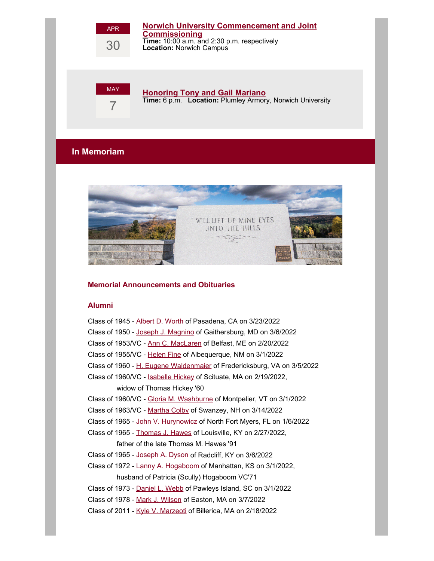

**[Honoring Tony and Gail Mariano](https://alumni.norwich.edu/TonyMariano?srctid=1&erid=22763296&trid=f4f9c195-b1eb-4d96-93bf-d0d2f0bc72b2) Time:** 6 p.m. **Location:** Plumley Armory, Norwich University

**[Norwich University Commencement and Joint](https://alumni.norwich.edu/page.redir?target=https%3a%2f%2fwww.norwich.edu%2fcommencement&srcid=159552&srctid=1&erid=22763296&trid=f4f9c195-b1eb-4d96-93bf-d0d2f0bc72b2)**

**Time:** 10:00 a.m. and 2:30 p.m. respectively

**[Commissioning](https://alumni.norwich.edu/page.redir?target=https%3a%2f%2fwww.norwich.edu%2fcommencement&srcid=159552&srctid=1&erid=22763296&trid=f4f9c195-b1eb-4d96-93bf-d0d2f0bc72b2)**

**Location:** Norwich Campus

# **In Memoriam**



#### **Memorial Announcements and Obituaries**

#### **Alumni**

| Class of 1945 - Albert D. Worth of Pasadena, CA on 3/23/2022            |
|-------------------------------------------------------------------------|
| Class of 1950 - Joseph J. Magnino of Gaithersburg, MD on 3/6/2022       |
| Class of 1953/VC - Ann C. MacLaren of Belfast, ME on 2/20/2022          |
| Class of 1955/VC - Helen Fine of Albequerque, NM on 3/1/2022            |
| Class of 1960 - H. Eugene Waldenmaier of Fredericksburg, VA on 3/5/2022 |
| Class of 1960/VC - Isabelle Hickey of Scituate, MA on 2/19/2022,        |
| widow of Thomas Hickey '60                                              |
| Class of 1960/VC - Gloria M. Washburne of Montpelier, VT on 3/1/2022    |
| Class of 1963/VC - Martha Colby of Swanzey, NH on 3/14/2022             |
| Class of 1965 - John V. Hurynowicz of North Fort Myers, FL on 1/6/2022  |
| Class of 1965 - Thomas J. Hawes of Louisville, KY on 2/27/2022,         |
| father of the late Thomas M. Hawes '91                                  |
| Class of 1965 - Joseph A. Dyson of Radcliff, KY on 3/6/2022             |
| Class of 1972 - Lanny A. Hogaboom of Manhattan, KS on 3/1/2022,         |
| husband of Patricia (Scully) Hogaboom VC'71                             |
| Class of 1973 - Daniel L. Webb of Pawleys Island, SC on 3/1/2022        |
| Class of 1978 - Mark J. Wilson of Easton, MA on 3/7/2022                |
| Class of 2011 - Kyle V. Marzeoti of Billerica, MA on 2/18/2022          |